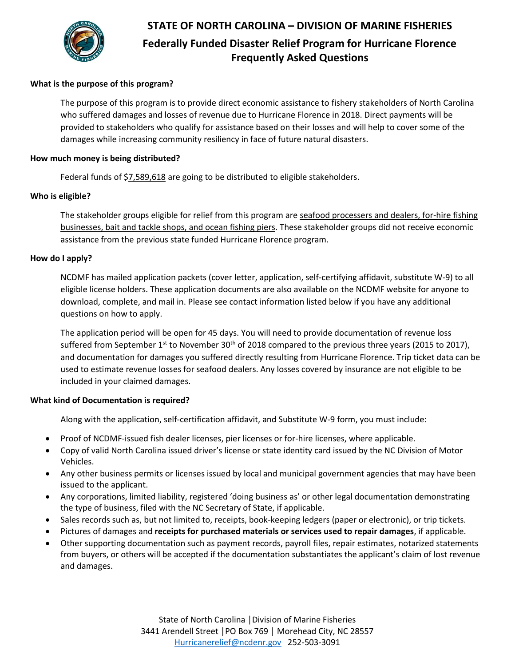

# **STATE OF NORTH CAROLINA – DIVISION OF MARINE FISHERIES Federally Funded Disaster Relief Program for Hurricane Florence Frequently Asked Questions**

## **What is the purpose of this program?**

The purpose of this program is to provide direct economic assistance to fishery stakeholders of North Carolina who suffered damages and losses of revenue due to Hurricane Florence in 2018. Direct payments will be provided to stakeholders who qualify for assistance based on their losses and will help to cover some of the damages while increasing community resiliency in face of future natural disasters.

#### **How much money is being distributed?**

Federal funds of \$7,589,618 are going to be distributed to eligible stakeholders.

#### **Who is eligible?**

The stakeholder groups eligible for relief from this program are seafood processers and dealers, for-hire fishing businesses, bait and tackle shops, and ocean fishing piers. These stakeholder groups did not receive economic assistance from the previous state funded Hurricane Florence program.

#### **How do I apply?**

NCDMF has mailed application packets (cover letter, application, self-certifying affidavit, substitute W-9) to all eligible license holders. These application documents are also available on the NCDMF website for anyone to download, complete, and mail in. Please see contact information listed below if you have any additional questions on how to apply.

The application period will be open for 45 days. You will need to provide documentation of revenue loss suffered from September  $1^{st}$  to November 30<sup>th</sup> of 2018 compared to the previous three years (2015 to 2017), and documentation for damages you suffered directly resulting from Hurricane Florence. Trip ticket data can be used to estimate revenue losses for seafood dealers. Any losses covered by insurance are not eligible to be included in your claimed damages.

## **What kind of Documentation is required?**

Along with the application, self-certification affidavit, and Substitute W-9 form, you must include:

- Proof of NCDMF-issued fish dealer licenses, pier licenses or for-hire licenses, where applicable.
- Copy of valid North Carolina issued driver's license or state identity card issued by the NC Division of Motor Vehicles.
- Any other business permits or licenses issued by local and municipal government agencies that may have been issued to the applicant.
- Any corporations, limited liability, registered 'doing business as' or other legal documentation demonstrating the type of business, filed with the NC Secretary of State, if applicable.
- Sales records such as, but not limited to, receipts, book-keeping ledgers (paper or electronic), or trip tickets.
- Pictures of damages and **receipts for purchased materials or services used to repair damages**, if applicable.
- Other supporting documentation such as payment records, payroll files, repair estimates, notarized statements from buyers, or others will be accepted if the documentation substantiates the applicant's claim of lost revenue and damages.